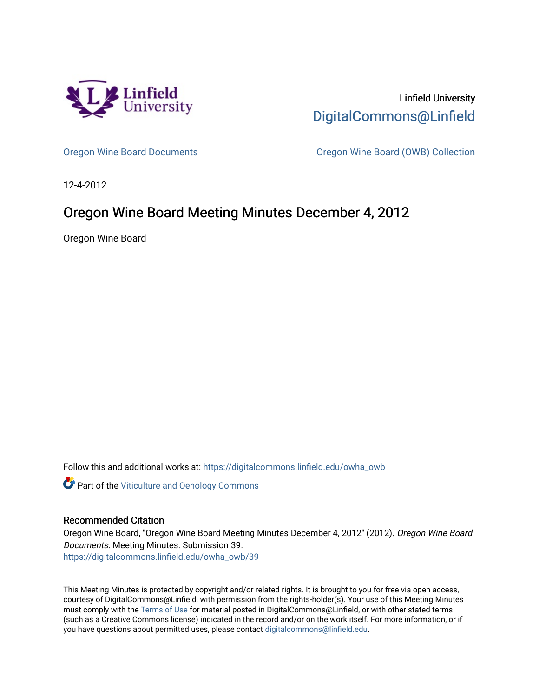

Linfield University [DigitalCommons@Linfield](https://digitalcommons.linfield.edu/) 

[Oregon Wine Board Documents](https://digitalcommons.linfield.edu/owha_owb) [Oregon Wine Board \(OWB\) Collection](https://digitalcommons.linfield.edu/owha_owb_comm) 

12-4-2012

# Oregon Wine Board Meeting Minutes December 4, 2012

Oregon Wine Board

Follow this and additional works at: [https://digitalcommons.linfield.edu/owha\\_owb](https://digitalcommons.linfield.edu/owha_owb?utm_source=digitalcommons.linfield.edu%2Fowha_owb%2F39&utm_medium=PDF&utm_campaign=PDFCoverPages) 

**Part of the [Viticulture and Oenology Commons](http://network.bepress.com/hgg/discipline/1264?utm_source=digitalcommons.linfield.edu%2Fowha_owb%2F39&utm_medium=PDF&utm_campaign=PDFCoverPages)** 

#### Recommended Citation

Oregon Wine Board, "Oregon Wine Board Meeting Minutes December 4, 2012" (2012). Oregon Wine Board Documents. Meeting Minutes. Submission 39.

[https://digitalcommons.linfield.edu/owha\\_owb/39](https://digitalcommons.linfield.edu/owha_owb/39)

This Meeting Minutes is protected by copyright and/or related rights. It is brought to you for free via open access, courtesy of DigitalCommons@Linfield, with permission from the rights-holder(s). Your use of this Meeting Minutes must comply with the [Terms of Use](https://digitalcommons.linfield.edu/terms_of_use.html) for material posted in DigitalCommons@Linfield, or with other stated terms (such as a Creative Commons license) indicated in the record and/or on the work itself. For more information, or if you have questions about permitted uses, please contact [digitalcommons@linfield.edu.](mailto:digitalcommons@linfield.edu)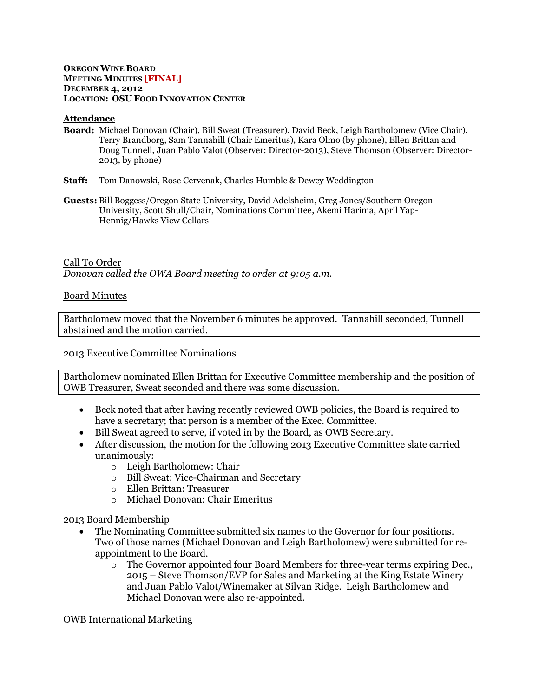#### **OREGON WINE BOARD MEETING MINUTES [FINAL] DECEMBER 4, 2012 LOCATION: OSU FOOD INNOVATION CENTER**

#### **Attendance**

- **Board:** Michael Donovan (Chair), Bill Sweat (Treasurer), David Beck, Leigh Bartholomew (Vice Chair), Terry Brandborg, Sam Tannahill (Chair Emeritus), Kara Olmo (by phone), Ellen Brittan and Doug Tunnell, Juan Pablo Valot (Observer: Director-2013), Steve Thomson (Observer: Director-2013, by phone)
- **Staff:** Tom Danowski, Rose Cervenak, Charles Humble & Dewey Weddington
- **Guests:** Bill Boggess/Oregon State University, David Adelsheim, Greg Jones/Southern Oregon University, Scott Shull/Chair, Nominations Committee, Akemi Harima, April Yap-Hennig/Hawks View Cellars

### Call To Order

*Donovan called the OWA Board meeting to order at 9:05 a.m.*

#### Board Minutes

Bartholomew moved that the November 6 minutes be approved. Tannahill seconded, Tunnell abstained and the motion carried.

#### 2013 Executive Committee Nominations

Bartholomew nominated Ellen Brittan for Executive Committee membership and the position of OWB Treasurer, Sweat seconded and there was some discussion.

- Beck noted that after having recently reviewed OWB policies, the Board is required to have a secretary; that person is a member of the Exec. Committee.
- Bill Sweat agreed to serve, if voted in by the Board, as OWB Secretary.
- After discussion, the motion for the following 2013 Executive Committee slate carried unanimously:
	- o Leigh Bartholomew: Chair
	- o Bill Sweat: Vice-Chairman and Secretary
	- o Ellen Brittan: Treasurer
	- o Michael Donovan: Chair Emeritus

#### 2013 Board Membership

- The Nominating Committee submitted six names to the Governor for four positions. Two of those names (Michael Donovan and Leigh Bartholomew) were submitted for reappointment to the Board.
	- o The Governor appointed four Board Members for three-year terms expiring Dec., 2015 – Steve Thomson/EVP for Sales and Marketing at the King Estate Winery and Juan Pablo Valot/Winemaker at Silvan Ridge. Leigh Bartholomew and Michael Donovan were also re-appointed.

OWB International Marketing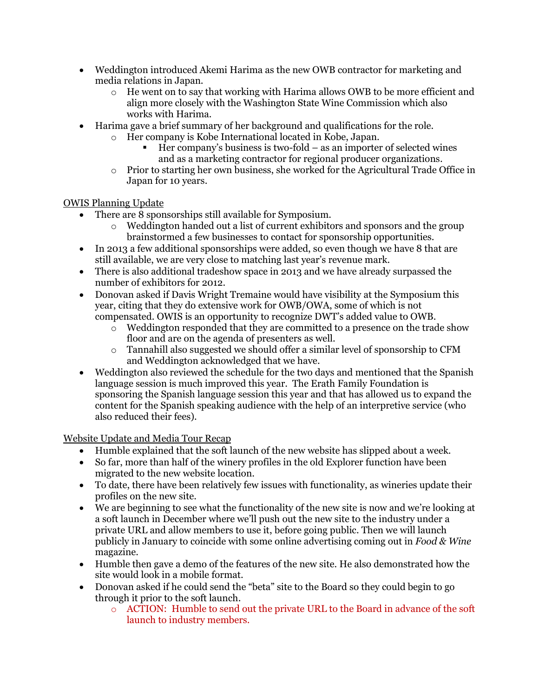- Weddington introduced Akemi Harima as the new OWB contractor for marketing and media relations in Japan.
	- $\circ$  He went on to say that working with Harima allows OWB to be more efficient and align more closely with the Washington State Wine Commission which also works with Harima.
- Harima gave a brief summary of her background and qualifications for the role.
	- o Her company is Kobe International located in Kobe, Japan.
		- Her company's business is two-fold as an importer of selected wines and as a marketing contractor for regional producer organizations.
		- o Prior to starting her own business, she worked for the Agricultural Trade Office in Japan for 10 years.

OWIS Planning Update

- There are 8 sponsorships still available for Symposium.
	- o Weddington handed out a list of current exhibitors and sponsors and the group brainstormed a few businesses to contact for sponsorship opportunities.
- In 2013 a few additional sponsorships were added, so even though we have 8 that are still available, we are very close to matching last year's revenue mark.
- There is also additional tradeshow space in 2013 and we have already surpassed the number of exhibitors for 2012.
- Donovan asked if Davis Wright Tremaine would have visibility at the Symposium this year, citing that they do extensive work for OWB/OWA, some of which is not compensated. OWIS is an opportunity to recognize DWT's added value to OWB.
	- $\overline{\circ}$  Weddington responded that they are committed to a presence on the trade show floor and are on the agenda of presenters as well.
	- o Tannahill also suggested we should offer a similar level of sponsorship to CFM and Weddington acknowledged that we have.
- Weddington also reviewed the schedule for the two days and mentioned that the Spanish language session is much improved this year. The Erath Family Foundation is sponsoring the Spanish language session this year and that has allowed us to expand the content for the Spanish speaking audience with the help of an interpretive service (who also reduced their fees).

Website Update and Media Tour Recap

- Humble explained that the soft launch of the new website has slipped about a week.
- So far, more than half of the winery profiles in the old Explorer function have been migrated to the new website location.
- To date, there have been relatively few issues with functionality, as wineries update their profiles on the new site.
- We are beginning to see what the functionality of the new site is now and we're looking at a soft launch in December where we'll push out the new site to the industry under a private URL and allow members to use it, before going public. Then we will launch publicly in January to coincide with some online advertising coming out in *Food & Wine* magazine.
- Humble then gave a demo of the features of the new site. He also demonstrated how the site would look in a mobile format.
- Donovan asked if he could send the "beta" site to the Board so they could begin to go through it prior to the soft launch.
	- o ACTION: Humble to send out the private URL to the Board in advance of the soft launch to industry members.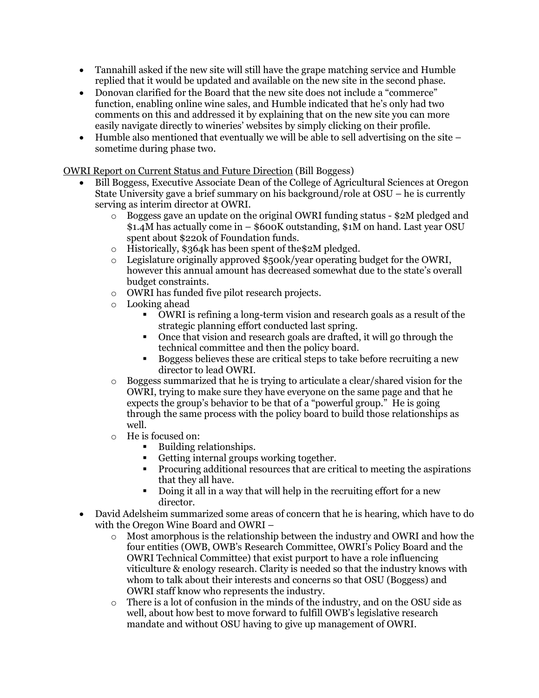- Tannahill asked if the new site will still have the grape matching service and Humble replied that it would be updated and available on the new site in the second phase.
- Donovan clarified for the Board that the new site does not include a "commerce" function, enabling online wine sales, and Humble indicated that he's only had two comments on this and addressed it by explaining that on the new site you can more easily navigate directly to wineries' websites by simply clicking on their profile.
- $\bullet$  Humble also mentioned that eventually we will be able to sell advertising on the site  $$ sometime during phase two.

OWRI Report on Current Status and Future Direction (Bill Boggess)

- Bill Boggess, Executive Associate Dean of the College of Agricultural Sciences at Oregon State University gave a brief summary on his background/role at OSU – he is currently serving as interim director at OWRI.
	- $\circ$  Boggess gave an update on the original OWRI funding status \$2M pledged and \$1.4M has actually come in – \$600K outstanding, \$1M on hand. Last year OSU spent about \$220k of Foundation funds.
	- o Historically, \$364k has been spent of the\$2M pledged.
	- $\circ$  Legislature originally approved \$500k/year operating budget for the OWRI, however this annual amount has decreased somewhat due to the state's overall budget constraints.
	- o OWRI has funded five pilot research projects.
	- o Looking ahead
		- OWRI is refining a long-term vision and research goals as a result of the strategic planning effort conducted last spring.
		- Once that vision and research goals are drafted, it will go through the technical committee and then the policy board.
		- Boggess believes these are critical steps to take before recruiting a new director to lead OWRI.
	- o Boggess summarized that he is trying to articulate a clear/shared vision for the OWRI, trying to make sure they have everyone on the same page and that he expects the group's behavior to be that of a "powerful group." He is going through the same process with the policy board to build those relationships as well.
	- o He is focused on:
		- Building relationships.
		- Getting internal groups working together.
		- Procuring additional resources that are critical to meeting the aspirations that they all have.
		- Doing it all in a way that will help in the recruiting effort for a new director.
- David Adelsheim summarized some areas of concern that he is hearing, which have to do with the Oregon Wine Board and OWRI –
	- $\circ$  Most amorphous is the relationship between the industry and OWRI and how the four entities (OWB, OWB's Research Committee, OWRI's Policy Board and the OWRI Technical Committee) that exist purport to have a role influencing viticulture & enology research. Clarity is needed so that the industry knows with whom to talk about their interests and concerns so that OSU (Boggess) and OWRI staff know who represents the industry.
	- $\circ$  There is a lot of confusion in the minds of the industry, and on the OSU side as well, about how best to move forward to fulfill OWB's legislative research mandate and without OSU having to give up management of OWRI.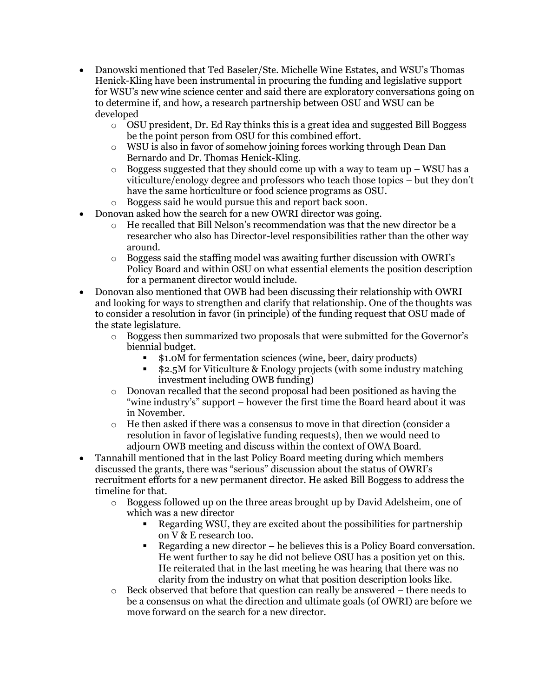- Danowski mentioned that Ted Baseler/Ste. Michelle Wine Estates, and WSU's Thomas Henick-Kling have been instrumental in procuring the funding and legislative support for WSU's new wine science center and said there are exploratory conversations going on to determine if, and how, a research partnership between OSU and WSU can be developed
	- $\circ$  OSU president, Dr. Ed Ray thinks this is a great idea and suggested Bill Boggess be the point person from OSU for this combined effort.
	- o WSU is also in favor of somehow joining forces working through Dean Dan Bernardo and Dr. Thomas Henick-Kling.
	- $\circ$  Boggess suggested that they should come up with a way to team up WSU has a viticulture/enology degree and professors who teach those topics – but they don't have the same horticulture or food science programs as OSU.
	- o Boggess said he would pursue this and report back soon.
- Donovan asked how the search for a new OWRI director was going.
	- $\circ$  He recalled that Bill Nelson's recommendation was that the new director be a researcher who also has Director-level responsibilities rather than the other way around.
	- o Boggess said the staffing model was awaiting further discussion with OWRI's Policy Board and within OSU on what essential elements the position description for a permanent director would include.
- Donovan also mentioned that OWB had been discussing their relationship with OWRI and looking for ways to strengthen and clarify that relationship. One of the thoughts was to consider a resolution in favor (in principle) of the funding request that OSU made of the state legislature.
	- o Boggess then summarized two proposals that were submitted for the Governor's biennial budget.
		- \$1.0M for fermentation sciences (wine, beer, dairy products)
		- \$2.5M for Viticulture & Enology projects (with some industry matching investment including OWB funding)
	- o Donovan recalled that the second proposal had been positioned as having the "wine industry's" support – however the first time the Board heard about it was in November.
	- o He then asked if there was a consensus to move in that direction (consider a resolution in favor of legislative funding requests), then we would need to adjourn OWB meeting and discuss within the context of OWA Board.
- Tannahill mentioned that in the last Policy Board meeting during which members discussed the grants, there was "serious" discussion about the status of OWRI's recruitment efforts for a new permanent director. He asked Bill Boggess to address the timeline for that.
	- $\circ$  Boggess followed up on the three areas brought up by David Adelsheim, one of which was a new director
		- Regarding WSU, they are excited about the possibilities for partnership on V & E research too.
		- Regarding a new director he believes this is a Policy Board conversation. He went further to say he did not believe OSU has a position yet on this. He reiterated that in the last meeting he was hearing that there was no clarity from the industry on what that position description looks like.
	- $\circ$  Beck observed that before that question can really be answered there needs to be a consensus on what the direction and ultimate goals (of OWRI) are before we move forward on the search for a new director.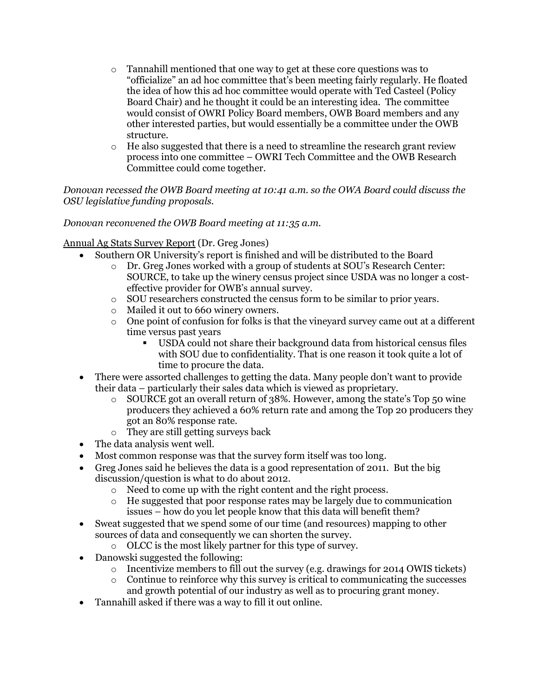- o Tannahill mentioned that one way to get at these core questions was to "officialize" an ad hoc committee that's been meeting fairly regularly. He floated the idea of how this ad hoc committee would operate with Ted Casteel (Policy Board Chair) and he thought it could be an interesting idea. The committee would consist of OWRI Policy Board members, OWB Board members and any other interested parties, but would essentially be a committee under the OWB structure.
- $\circ$  He also suggested that there is a need to streamline the research grant review process into one committee – OWRI Tech Committee and the OWB Research Committee could come together.

*Donovan recessed the OWB Board meeting at 10:41 a.m. so the OWA Board could discuss the OSU legislative funding proposals.*

# *Donovan reconvened the OWB Board meeting at 11:35 a.m.*

# Annual Ag Stats Survey Report (Dr. Greg Jones)

- Southern OR University's report is finished and will be distributed to the Board
	- o Dr. Greg Jones worked with a group of students at SOU's Research Center: SOURCE, to take up the winery census project since USDA was no longer a costeffective provider for OWB's annual survey.
	- o SOU researchers constructed the census form to be similar to prior years.
	- o Mailed it out to 660 winery owners.
	- $\circ$  One point of confusion for folks is that the vineyard survey came out at a different time versus past years
		- USDA could not share their background data from historical census files with SOU due to confidentiality. That is one reason it took quite a lot of time to procure the data.
- There were assorted challenges to getting the data. Many people don't want to provide their data – particularly their sales data which is viewed as proprietary.
	- o SOURCE got an overall return of 38%. However, among the state's Top 50 wine producers they achieved a 60% return rate and among the Top 20 producers they got an 80% response rate.
	- o They are still getting surveys back
- The data analysis went well.
- Most common response was that the survey form itself was too long.
- Greg Jones said he believes the data is a good representation of 2011. But the big discussion/question is what to do about 2012.
	- o Need to come up with the right content and the right process.
	- $\circ$  He suggested that poor response rates may be largely due to communication issues – how do you let people know that this data will benefit them?
- Sweat suggested that we spend some of our time (and resources) mapping to other sources of data and consequently we can shorten the survey.
	- o OLCC is the most likely partner for this type of survey.
- Danowski suggested the following:
	- o Incentivize members to fill out the survey (e.g. drawings for 2014 OWIS tickets)
	- $\circ$  Continue to reinforce why this survey is critical to communicating the successes and growth potential of our industry as well as to procuring grant money.
- Tannahill asked if there was a way to fill it out online.